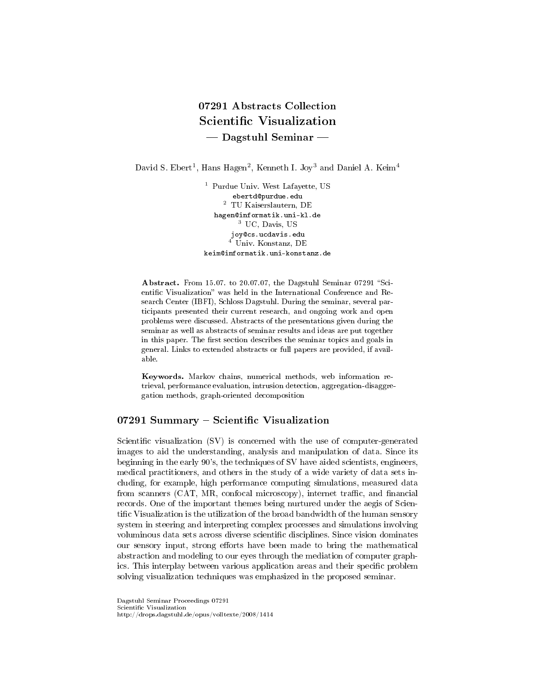# 07291 Abstracts Collection Scientific Visualization Dagstuhl Seminar

David S. Ebert<sup>1</sup>, Hans Hagen<sup>2</sup>, Kenneth I. Joy<sup>3</sup> and Daniel A. Keim<sup>4</sup>

<sup>1</sup> Purdue Univ. West Lafayette, US ebertd@purdue.edu  $^2\,$  TU Kaiserslautern, DE hagen@informatik.uni-kl.de <sup>3</sup> UC, Davis, US joy@cs.ucdavis.edu <sup>4</sup> Univ. Konstanz, DE keim@informatik.uni-konstanz.de

Abstract. From 15.07. to 20.07.07, the Dagstuhl Seminar 07291 "Scientific Visualization" was held in the International Conference and Research Center (IBFI), Schloss Dagstuhl. During the seminar, several participants presented their current research, and ongoing work and open problems were discussed. Abstracts of the presentations given during the seminar as well as abstracts of seminar results and ideas are put together in this paper. The first section describes the seminar topics and goals in general. Links to extended abstracts or full papers are provided, if available.

Keywords. Markov chains, numerical methods, web information retrieval, performance evaluation, intrusion detection, aggregation-disaggregation methods, graph-oriented decomposition

# 07291 Summary - Scientific Visualization

Scientific visualization  $(SV)$  is concerned with the use of computer-generated images to aid the understanding, analysis and manipulation of data. Since its beginning in the early 90's, the techniques of SV have aided scientists, engineers, medical practitioners, and others in the study of a wide variety of data sets including, for example, high performance computing simulations, measured data from scanners (CAT, MR, confocal microscopy), internet traffic, and financial records. One of the important themes being nurtured under the aegis of Scientific Visualization is the utilization of the broad bandwidth of the human sensory system in steering and interpreting complex processes and simulations involving voluminous data sets across diverse scientific disciplines. Since vision dominates our sensory input, strong efforts have been made to bring the mathematical abstraction and modeling to our eyes through the mediation of computer graphics. This interplay between various application areas and their specific problem solving visualization techniques was emphasized in the proposed seminar.

Dagstuhl Seminar Proceedings 07291 Scientific Visualization http://drops.dagstuhl.de/opus/volltexte/2008/1414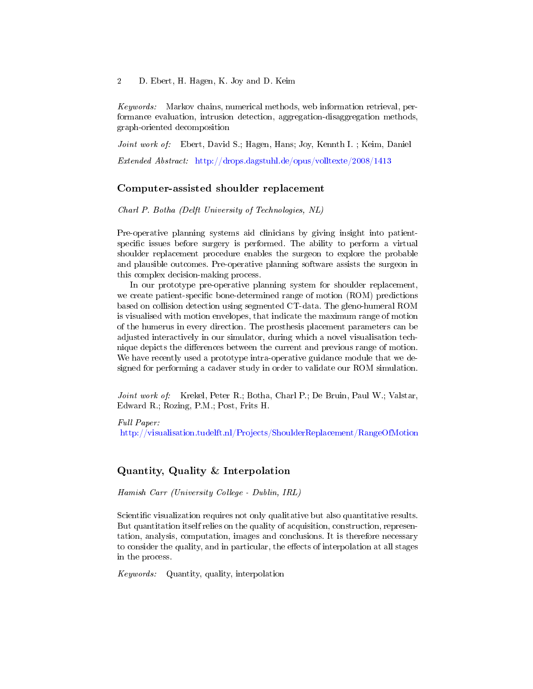Keywords: Markov chains, numerical methods, web information retrieval, performance evaluation, intrusion detection, aggregation-disaggregation methods, graph-oriented decomposition

Joint work of: Ebert, David S.; Hagen, Hans; Joy, Kennth I.; Keim, Daniel

Extended Abstract: <http://drops.dagstuhl.de/opus/volltexte/2008/1413>

# Computer-assisted shoulder replacement

Charl P. Botha (Delft University of Technologies, NL)

Pre-operative planning systems aid clinicians by giving insight into patientspecific issues before surgery is performed. The ability to perform a virtual shoulder replacement procedure enables the surgeon to explore the probable and plausible outcomes. Pre-operative planning software assists the surgeon in this complex decision-making process.

In our prototype pre-operative planning system for shoulder replacement, we create patient-specific bone-determined range of motion (ROM) predictions based on collision detection using segmented CT-data. The gleno-humeral ROM is visualised with motion envelopes, that indicate the maximum range of motion of the humerus in every direction. The prosthesis placement parameters can be adjusted interactively in our simulator, during which a novel visualisation technique depicts the differences between the current and previous range of motion. We have recently used a prototype intra-operative guidance module that we designed for performing a cadaver study in order to validate our ROM simulation.

Joint work of: Krekel, Peter R.; Botha, Charl P.; De Bruin, Paul W.; Valstar, Edward R.; Rozing, P.M.; Post, Frits H.

Full Paper:

<http://visualisation.tudelft.nl/Projects/ShoulderReplacement/RangeOfMotion>

# Quantity, Quality & Interpolation

Hamish Carr (University College - Dublin, IRL)

Scientific visualization requires not only qualitative but also quantitative results. But quantitation itself relies on the quality of acquisition, construction, representation, analysis, computation, images and conclusions. It is therefore necessary to consider the quality, and in particular, the effects of interpolation at all stages in the process.

Keywords: Quantity, quality, interpolation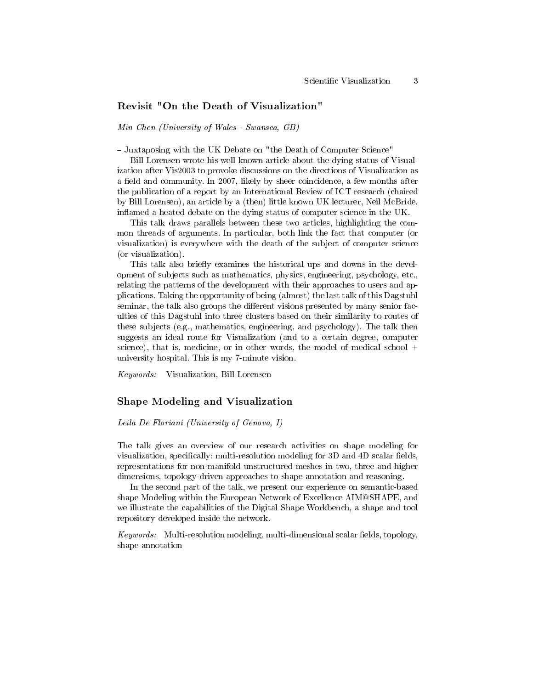# Revisit "On the Death of Visualization"

Min Chen (University of Wales - Swansea, GB)

Juxtaposing with the UK Debate on "the Death of Computer Science"

Bill Lorensen wrote his well known article about the dying status of Visualization after Vis2003 to provoke discussions on the directions of Visualization as a field and community. In 2007, likely by sheer coincidence, a few months after the publication of a report by an International Review of ICT research (chaired by Bill Lorensen), an article by a (then) little known UK lecturer, Neil McBride, inflamed a heated debate on the dying status of computer science in the  $UK$ .

This talk draws parallels between these two articles, highlighting the common threads of arguments. In particular, both link the fact that computer (or visualization) is everywhere with the death of the subject of computer science (or visualization).

This talk also briefly examines the historical ups and downs in the development of subjects such as mathematics, physics, engineering, psychology, etc., relating the patterns of the development with their approaches to users and applications. Taking the opportunity of being (almost) the last talk of this Dagstuhl seminar, the talk also groups the different visions presented by many senior faculties of this Dagstuhl into three clusters based on their similarity to routes of these subjects (e.g., mathematics, engineering, and psychology). The talk then suggests an ideal route for Visualization (and to a certain degree, computer science), that is, medicine, or in other words, the model of medical school  $+$ university hospital. This is my 7-minute vision.

Keywords: Visualization, Bill Lorensen

#### Shape Modeling and Visualization

#### Leila De Floriani (University of Genova, I)

The talk gives an overview of our research activities on shape modeling for visualization, specifically: multi-resolution modeling for  $3D$  and  $4D$  scalar fields, representations for non-manifold unstructured meshes in two, three and higher dimensions, topology-driven approaches to shape annotation and reasoning.

In the second part of the talk, we present our experience on semantic-based shape Modeling within the European Network of Excellence AIM@SHAPE, and we illustrate the capabilities of the Digital Shape Workbench, a shape and tool repository developed inside the network.

 $Keywords:$  Multi-resolution modeling, multi-dimensional scalar fields, topology, shape annotation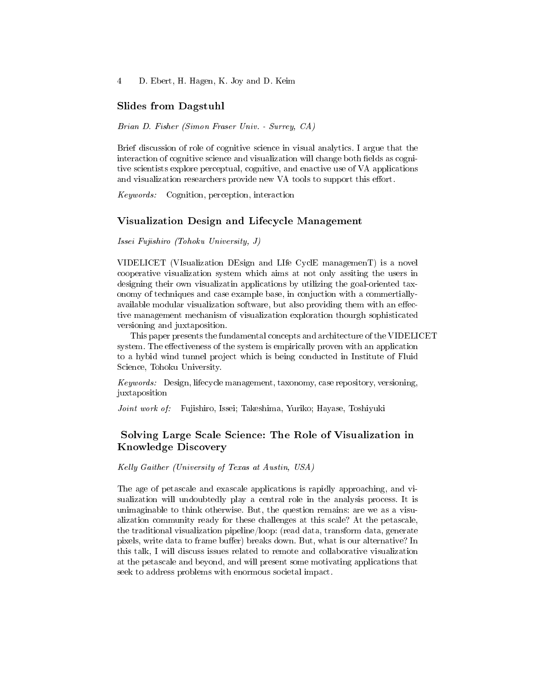# Slides from Dagstuhl

Brian D. Fisher (Simon Fraser Univ. - Surrey, CA)

Brief discussion of role of cognitive science in visual analytics. I argue that the interaction of cognitive science and visualization will change both fields as cognitive scientists explore perceptual, cognitive, and enactive use of VA applications and visualization researchers provide new VA tools to support this effort.

Keywords: Cognition, perception, interaction

#### Visualization Design and Lifecycle Management

Issei Fujishiro (Tohoku University, J)

VIDELICET (VIsualization DEsign and LIfe CyclE managemenT) is a novel cooperative visualization system which aims at not only assiting the users in designing their own visualizatin applications by utilizing the goal-oriented taxonomy of techniques and case example base, in conjuction with a commertiallyavailable modular visualization software, but also providing them with an effective management mechanism of visualization exploration thourgh sophisticated versioning and juxtaposition.

This paper presents the fundamental concepts and architecture of the VIDELICET system. The effectiveness of the system is empirically proven with an application to a hybid wind tunnel project which is being conducted in Institute of Fluid Science, Tohoku University.

Keywords: Design, lifecycle management, taxonomy, case repository, versioning, juxtaposition

Joint work of: Fujishiro, Issei; Takeshima, Yuriko; Hayase, Toshiyuki

# Solving Large Scale Science: The Role of Visualization in Knowledge Discovery

Kelly Gaither (University of Texas at Austin, USA)

The age of petascale and exascale applications is rapidly approaching, and visualization will undoubtedly play a central role in the analysis process. It is unimaginable to think otherwise. But, the question remains: are we as a visualization community ready for these challenges at this scale? At the petascale, the traditional visualization pipeline/loop: (read data, transform data, generate pixels, write data to frame buffer) breaks down. But, what is our alternative? In this talk, I will discuss issues related to remote and collaborative visualization at the petascale and beyond, and will present some motivating applications that seek to address problems with enormous societal impact.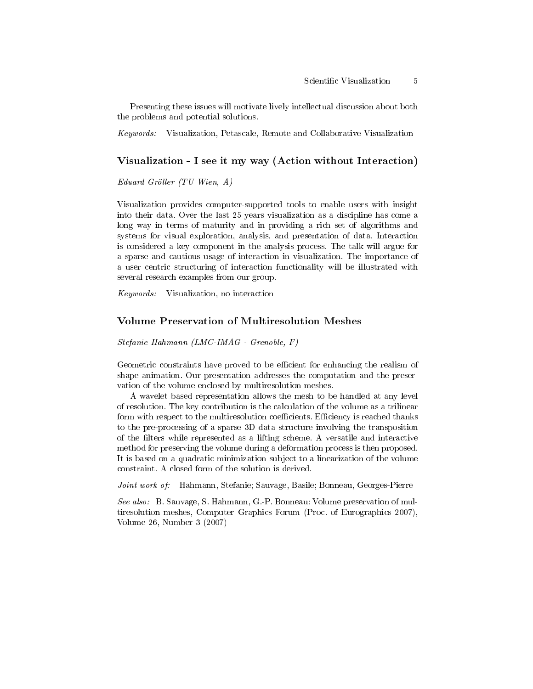Presenting these issues will motivate lively intellectual discussion about both the problems and potential solutions.

Keywords: Visualization, Petascale, Remote and Collaborative Visualization

### Visualization - I see it my way (Action without Interaction)

Eduard Gröller (TU Wien, A)

Visualization provides computer-supported tools to enable users with insight into their data. Over the last 25 years visualization as a discipline has come a long way in terms of maturity and in providing a rich set of algorithms and systems for visual exploration, analysis, and presentation of data. Interaction is considered a key component in the analysis process. The talk will argue for a sparse and cautious usage of interaction in visualization. The importance of a user centric structuring of interaction functionality will be illustrated with several research examples from our group.

Keywords: Visualization, no interaction

# Volume Preservation of Multiresolution Meshes

Stefanie Hahmann (LMC-IMAG - Grenoble, F)

Geometric constraints have proved to be efficient for enhancing the realism of shape animation. Our presentation addresses the computation and the preservation of the volume enclosed by multiresolution meshes.

A wavelet based representation allows the mesh to be handled at any level of resolution. The key contribution is the calculation of the volume as a trilinear form with respect to the multiresolution coefficients. Efficiency is reached thanks to the pre-processing of a sparse 3D data structure involving the transposition of the lters while represented as a lifting scheme. A versatile and interactive method for preserving the volume during a deformation process is then proposed. It is based on a quadratic minimization subject to a linearization of the volume constraint. A closed form of the solution is derived.

Joint work of: Hahmann, Stefanie; Sauvage, Basile; Bonneau, Georges-Pierre

See also: B. Sauvage, S. Hahmann, G.-P. Bonneau: Volume preservation of multiresolution meshes, Computer Graphics Forum (Proc. of Eurographics 2007), Volume 26, Number 3 (2007)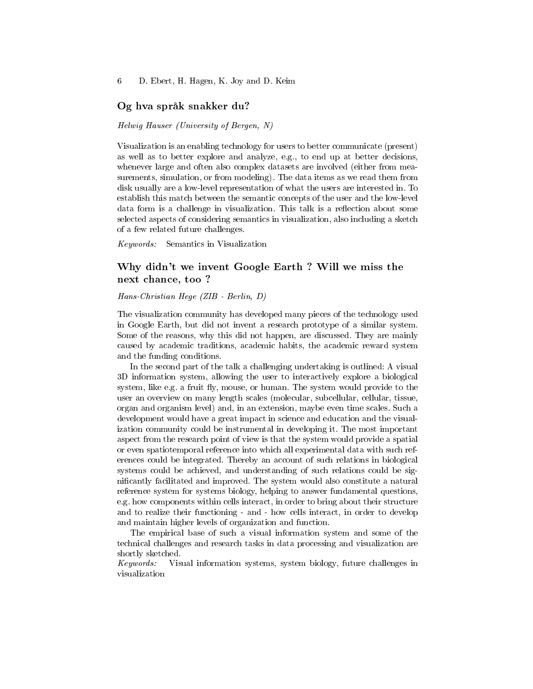# Og hva språk snakker du?

#### Helwig Hauser (University of Bergen, N)

Visualization is an enabling technology for users to better communicate (present) as well as to better explore and analyze, e.g., to end up at better decisions, whenever large and often also complex datasets are involved (either from measurements, simulation, or from modeling). The data items as we read them from disk usually are a low-level representation of what the users are interested in. To establish this match between the semantic concepts of the user and the low-level data form is a challenge in visualization. This talk is a reflection about some selected aspects of considering semantics in visualization, also including a sketch of a few related future challenges.

Keywords: Semantics in Visualization

# Why didn't we invent Google Earth ? Will we miss the next chance, too ?

#### Hans-Christian Hege (ZIB - Berlin, D)

The visualization community has developed many pieces of the technology used in Google Earth, but did not invent a research prototype of a similar system. Some of the reasons, why this did not happen, are discussed. They are mainly caused by academic traditions, academic habits, the academic reward system and the funding conditions.

In the second part of the talk a challenging undertaking is outlined: A visual 3D information system, allowing the user to interactively explore a biological system, like e.g. a fruit fly, mouse, or human. The system would provide to the user an overview on many length scales (molecular, subcellular, cellular, tissue, organ and organism level) and, in an extension, maybe even time scales. Such a development would have a great impact in science and education and the visualization community could be instrumental in developing it. The most important aspect from the research point of view is that the system would provide a spatial or even spatiotemporal reference into which all experimental data with such references could be integrated. Thereby an account of such relations in biological systems could be achieved, and understanding of such relations could be signicantly facilitated and improved. The system would also constitute a natural reference system for systems biology, helping to answer fundamental questions, e.g. how components within cells interact, in order to bring about their structure and to realize their functioning - and - how cells interact, in order to develop and maintain higher levels of organization and function.

The empirical base of such a visual information system and some of the technical challenges and research tasks in data processing and visualization are shortly sketched.

Keywords: Visual information systems, system biology, future challenges in visualization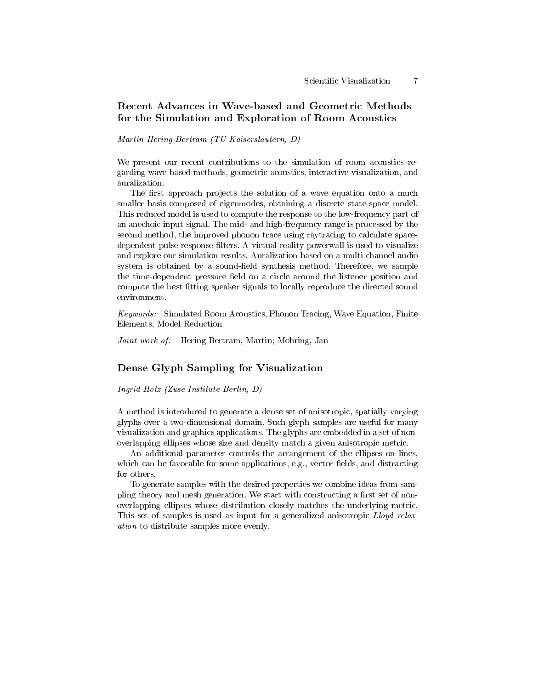# Recent Advances in Wave-based and Geometric Methods for the Simulation and Exploration of Room Acoustics

#### Martin Hering-Bertram (TU Kaiserslautern, D)

We present our recent contributions to the simulation of room acoustics regarding wave-based methods, geometric acoustics, interactive visualization, and auralization.

The first approach projects the solution of a wave equation onto a much smaller basis composed of eigenmodes, obtaining a discrete state-space model. This reduced model is used to compute the response to the low-frequency part of an anechoic input signal. The mid- and high-frequency range is processed by the second method, the improved phonon trace using raytracing to calculate spacedependent pulse response filters. A virtual-reality powerwall is used to visualize and explore our simulation results. Auralization based on a multi-channel audio system is obtained by a sound-field synthesis method. Therefore, we sample the time-dependent pressure field on a circle around the listener position and compute the best fitting speaker signals to locally reproduce the directed sound environment.

Keywords: Simulated Room Acoustics, Phonon Tracing, Wave Equation, Finite Elements, Model Reduction

Joint work of: Hering-Bertram, Martin; Mohring, Jan

# Dense Glyph Sampling for Visualization

Ingrid Hotz (Zuse Institute Berlin, D)

A method is introduced to generate a dense set of anisotropic, spatially varying glyphs over a two-dimensional domain. Such glyph samples are useful for many visualization and graphics applications. The glyphs are embedded in a set of nonoverlapping ellipses whose size and density match a given anisotropic metric.

An additional parameter controls the arrangement of the ellipses on lines, which can be favorable for some applications, e.g., vector fields, and distracting for others.

To generate samples with the desired properties we combine ideas from sampling theory and mesh generation. We start with constructing a first set of nonoverlapping ellipses whose distribution closely matches the underlying metric. This set of samples is used as input for a generalized anisotropic Lloyd relaxation to distribute samples more evenly.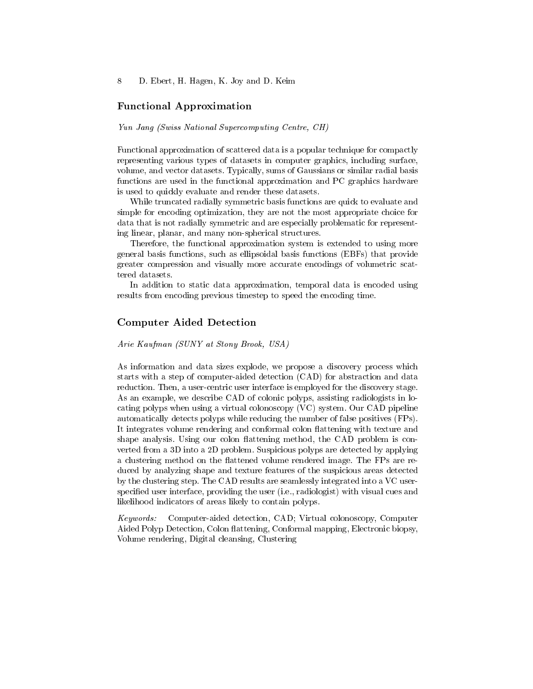### Functional Approximation

#### Yun Jang (Swiss National Supercomputing Centre, CH)

Functional approximation of scattered data is a popular technique for compactly representing various types of datasets in computer graphics, including surface, volume, and vector datasets. Typically, sums of Gaussians or similar radial basis functions are used in the functional approximation and PC graphics hardware is used to quickly evaluate and render these datasets.

While truncated radially symmetric basis functions are quick to evaluate and simple for encoding optimization, they are not the most appropriate choice for data that is not radially symmetric and are especially problematic for representing linear, planar, and many non-spherical structures.

Therefore, the functional approximation system is extended to using more general basis functions, such as ellipsoidal basis functions (EBFs) that provide greater compression and visually more accurate encodings of volumetric scattered datasets.

In addition to static data approximation, temporal data is encoded using results from encoding previous timestep to speed the encoding time.

# Computer Aided Detection

#### Arie Kaufman (SUNY at Stony Brook, USA)

As information and data sizes explode, we propose a discovery process which starts with a step of computer-aided detection (CAD) for abstraction and data reduction. Then, a user-centric user interface is employed for the discovery stage. As an example, we describe CAD of colonic polyps, assisting radiologists in locating polyps when using a virtual colonoscopy (VC) system. Our CAD pipeline automatically detects polyps while reducing the number of false positives (FPs). It integrates volume rendering and conformal colon flattening with texture and shape analysis. Using our colon flattening method, the CAD problem is converted from a 3D into a 2D problem. Suspicious polyps are detected by applying a clustering method on the flattened volume rendered image. The FPs are reduced by analyzing shape and texture features of the suspicious areas detected by the clustering step. The CAD results are seamlessly integrated into a VC userspecified user interface, providing the user (i.e., radiologist) with visual cues and likelihood indicators of areas likely to contain polyps.

Keywords: Computer-aided detection, CAD; Virtual colonoscopy, Computer Aided Polyp Detection, Colon flattening, Conformal mapping, Electronic biopsy, Volume rendering, Digital cleansing, Clustering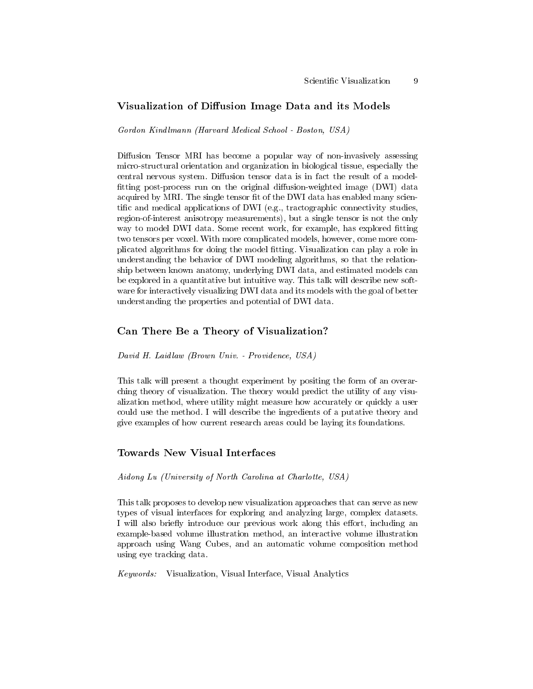# Visualization of Diffusion Image Data and its Models

Gordon Kindlmann (Harvard Medical School - Boston, USA)

Diffusion Tensor MRI has become a popular way of non-invasively assessing micro-structural orientation and organization in biological tissue, especially the central nervous system. Diffusion tensor data is in fact the result of a modelfitting post-process run on the original diffusion-weighted image (DWI) data acquired by MRI. The single tensor fit of the DWI data has enabled many scientific and medical applications of DWI (e.g., tractographic connectivity studies, region-of-interest anisotropy measurements), but a single tensor is not the only way to model DWI data. Some recent work, for example, has explored fitting two tensors per voxel. With more complicated models, however, come more complicated algorithms for doing the model tting. Visualization can play a role in understanding the behavior of DWI modeling algorithms, so that the relationship between known anatomy, underlying DWI data, and estimated models can be explored in a quantitative but intuitive way. This talk will describe new software for interactively visualizing DWI data and its models with the goal of better understanding the properties and potential of DWI data.

# Can There Be a Theory of Visualization?

David H. Laidlaw (Brown Univ. - Providence, USA)

This talk will present a thought experiment by positing the form of an overarching theory of visualization. The theory would predict the utility of any visualization method, where utility might measure how accurately or quickly a user could use the method. I will describe the ingredients of a putative theory and give examples of how current research areas could be laying its foundations.

### Towards New Visual Interfaces

Aidong Lu (University of North Carolina at Charlotte, USA)

This talk proposes to develop new visualization approaches that can serve as new types of visual interfaces for exploring and analyzing large, complex datasets. I will also briefly introduce our previous work along this effort, including an example-based volume illustration method, an interactive volume illustration approach using Wang Cubes, and an automatic volume composition method using eye tracking data.

Keywords: Visualization, Visual Interface, Visual Analytics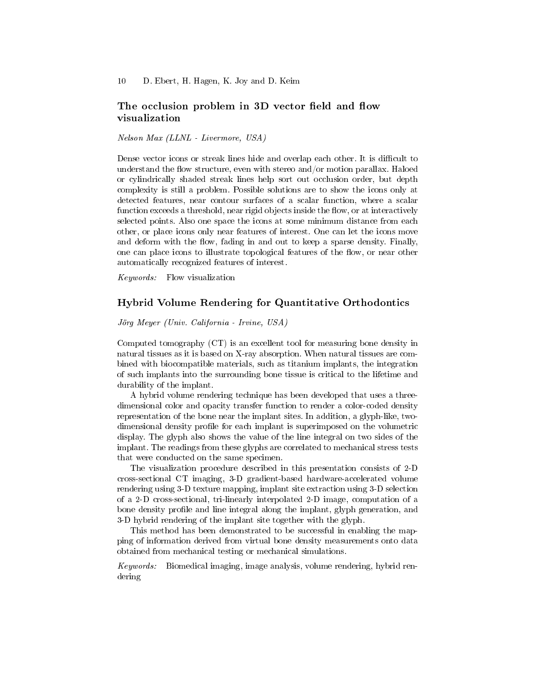# The occlusion problem in 3D vector field and flow visualization

Nelson Max (LLNL - Livermore, USA)

Dense vector icons or streak lines hide and overlap each other. It is difficult to understand the flow structure, even with stereo and/or motion parallax. Haloed or cylindrically shaded streak lines help sort out occlusion order, but depth complexity is still a problem. Possible solutions are to show the icons only at detected features, near contour surfaces of a scalar function, where a scalar function exceeds a threshold, near rigid objects inside the flow, or at interactively selected points. Also one space the icons at some minimum distance from each other, or place icons only near features of interest. One can let the icons move and deform with the flow, fading in and out to keep a sparse density. Finally, one can place icons to illustrate topological features of the flow, or near other automatically recognized features of interest.

Keywords: Flow visualization

# Hybrid Volume Rendering for Quantitative Orthodontics

Jörg Meyer (Univ. California - Irvine, USA)

Computed tomography (CT) is an excellent tool for measuring bone density in natural tissues as it is based on X-ray absorption. When natural tissues are combined with biocompatible materials, such as titanium implants, the integration of such implants into the surrounding bone tissue is critical to the lifetime and durability of the implant.

A hybrid volume rendering technique has been developed that uses a threedimensional color and opacity transfer function to render a color-coded density representation of the bone near the implant sites. In addition, a glyph-like, twodimensional density profile for each implant is superimposed on the volumetric display. The glyph also shows the value of the line integral on two sides of the implant. The readings from these glyphs are correlated to mechanical stress tests that were conducted on the same specimen.

The visualization procedure described in this presentation consists of 2-D cross-sectional CT imaging, 3-D gradient-based hardware-accelerated volume rendering using 3-D texture mapping, implant site extraction using 3-D selection of a 2-D cross-sectional, tri-linearly interpolated 2-D image, computation of a bone density profile and line integral along the implant, glyph generation, and 3-D hybrid rendering of the implant site together with the glyph.

This method has been demonstrated to be successful in enabling the mapping of information derived from virtual bone density measurements onto data obtained from mechanical testing or mechanical simulations.

Keywords: Biomedical imaging, image analysis, volume rendering, hybrid rendering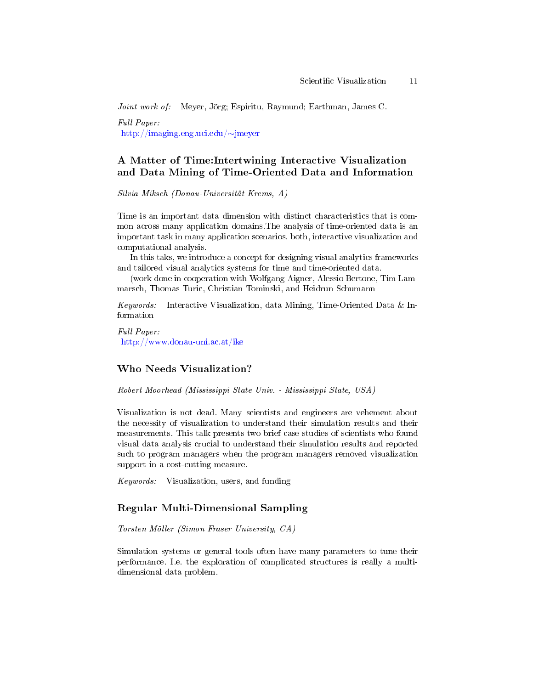Joint work of: Meyer, Jörg; Espiritu, Raymund; Earthman, James C.

Full Paper: [http://imaging.eng.uci.edu/](http://imaging.eng.uci.edu/~jmeyer)∼jmeyer

# A Matter of Time:Intertwining Interactive Visualization and Data Mining of Time-Oriented Data and Information

Silvia Miksch (Donau-Universität Krems, A)

Time is an important data dimension with distinct characteristics that is common across many application domains.The analysis of time-oriented data is an important task in many application scenarios. both, interactive visualization and computational analysis.

In this taks, we introduce a concept for designing visual analytics frameworks and tailored visual analytics systems for time and time-oriented data.

(work done in cooperation with Wolfgang Aigner, Alessio Bertone, Tim Lammarsch, Thomas Turic, Christian Tominski, and Heidrun Schumann

*Keywords:* Interactive Visualization, data Mining, Time-Oriented Data & Information

Full Paper: <http://www.donau-uni.ac.at/ike>

# Who Needs Visualization?

Robert Moorhead (Mississippi State Univ. - Mississippi State, USA)

Visualization is not dead. Many scientists and engineers are vehement about the necessity of visualization to understand their simulation results and their measurements. This talk presents two brief case studies of scientists who found visual data analysis crucial to understand their simulation results and reported such to program managers when the program managers removed visualization support in a cost-cutting measure.

Keywords: Visualization, users, and funding

### Regular Multi-Dimensional Sampling

Torsten Möller (Simon Fraser University, CA)

Simulation systems or general tools often have many parameters to tune their performance. I.e. the exploration of complicated structures is really a multidimensional data problem.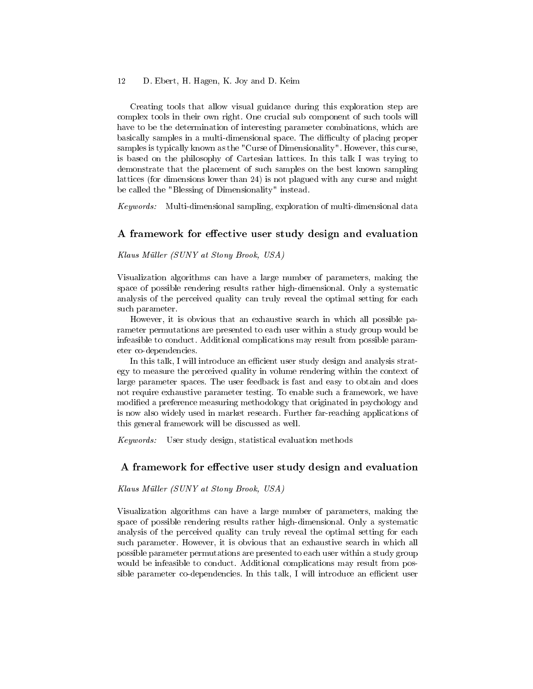Creating tools that allow visual guidance during this exploration step are complex tools in their own right. One crucial sub component of such tools will have to be the determination of interesting parameter combinations, which are basically samples in a multi-dimensional space. The difficulty of placing proper samples is typically known as the "Curse of Dimensionality". However, this curse, is based on the philosophy of Cartesian lattices. In this talk I was trying to demonstrate that the placement of such samples on the best known sampling lattices (for dimensions lower than 24) is not plagued with any curse and might be called the "Blessing of Dimensionality" instead.

Keywords: Multi-dimensional sampling, exploration of multi-dimensional data

### A framework for effective user study design and evaluation

Klaus Müller (SUNY at Stony Brook, USA)

Visualization algorithms can have a large number of parameters, making the space of possible rendering results rather high-dimensional. Only a systematic analysis of the perceived quality can truly reveal the optimal setting for each such parameter.

However, it is obvious that an exhaustive search in which all possible parameter permutations are presented to each user within a study group would be infeasible to conduct. Additional complications may result from possible parameter co-dependencies.

In this talk, I will introduce an efficient user study design and analysis strategy to measure the perceived quality in volume rendering within the context of large parameter spaces. The user feedback is fast and easy to obtain and does not require exhaustive parameter testing. To enable such a framework, we have modified a preference measuring methodology that originated in psychology and is now also widely used in market research. Further far-reaching applications of this general framework will be discussed as well.

Keywords: User study design, statistical evaluation methods

### A framework for effective user study design and evaluation

Klaus Müller (SUNY at Stony Brook, USA)

Visualization algorithms can have a large number of parameters, making the space of possible rendering results rather high-dimensional. Only a systematic analysis of the perceived quality can truly reveal the optimal setting for each such parameter. However, it is obvious that an exhaustive search in which all possible parameter permutations are presented to each user within a study group would be infeasible to conduct. Additional complications may result from possible parameter co-dependencies. In this talk, I will introduce an efficient user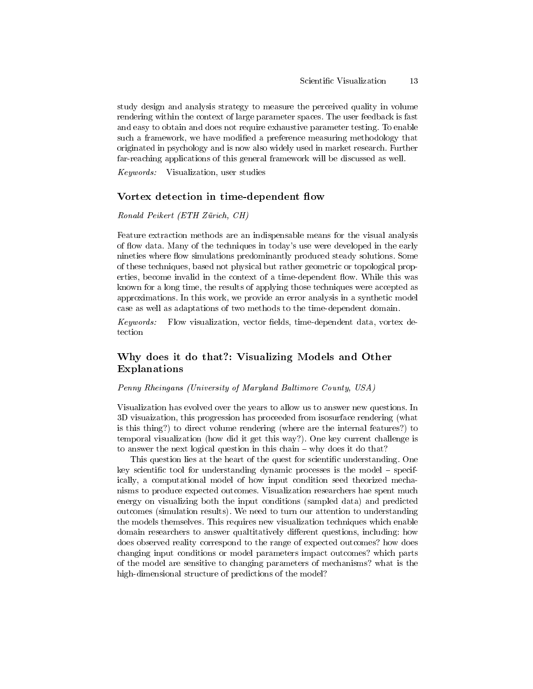study design and analysis strategy to measure the perceived quality in volume rendering within the context of large parameter spaces. The user feedback is fast and easy to obtain and does not require exhaustive parameter testing. To enable such a framework, we have modified a preference measuring methodology that originated in psychology and is now also widely used in market research. Further far-reaching applications of this general framework will be discussed as well.

Keywords: Visualization, user studies

#### Vortex detection in time-dependent flow

#### Ronald Peikert (ETH Zürich, CH)

Feature extraction methods are an indispensable means for the visual analysis of flow data. Many of the techniques in today's use were developed in the early nineties where flow simulations predominantly produced steady solutions. Some of these techniques, based not physical but rather geometric or topological properties, become invalid in the context of a time-dependent flow. While this was known for a long time, the results of applying those techniques were accepted as approximations. In this work, we provide an error analysis in a synthetic model case as well as adaptations of two methods to the time-dependent domain.

 $Keywords:$  Flow visualization, vector fields, time-dependent data, vortex detection

# Why does it do that?: Visualizing Models and Other Explanations

#### Penny Rheingans (University of Maryland Baltimore County, USA)

Visualization has evolved over the years to allow us to answer new questions. In 3D visuaization, this progression has proceeded from isosurface rendering (what is this thing?) to direct volume rendering (where are the internal features?) to temporal visualization (how did it get this way?). One key current challenge is to answer the next logical question in this chain  $-$  why does it do that?

This question lies at the heart of the quest for scientific understanding. One key scientific tool for understanding dynamic processes is the model  $-$  specifically, a computational model of how input condition seed theorized mechanisms to produce expected outcomes. Visualization researchers hae spent much energy on visualizing both the input conditions (sampled data) and predicted outcomes (simulation results). We need to turn our attention to understanding the models themselves. This requires new visualization techniques which enable domain researchers to answer qualitatively different questions, including: how does observed reality correspond to the range of expected outcomes? how does changing input conditions or model parameters impact outcomes? which parts of the model are sensitive to changing parameters of mechanisms? what is the high-dimensional structure of predictions of the model?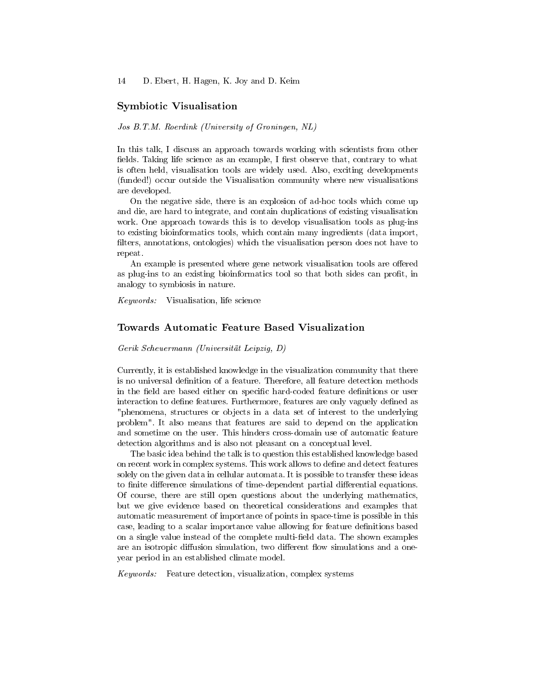### Symbiotic Visualisation

#### Jos B.T.M. Roerdink (University of Groningen, NL)

In this talk, I discuss an approach towards working with scientists from other fields. Taking life science as an example, I first observe that, contrary to what is often held, visualisation tools are widely used. Also, exciting developments (funded!) occur outside the Visualisation community where new visualisations are developed.

On the negative side, there is an explosion of ad-hoc tools which come up and die, are hard to integrate, and contain duplications of existing visualisation work. One approach towards this is to develop visualisation tools as plug-ins to existing bioinformatics tools, which contain many ingredients (data import, filters, annotations, ontologies) which the visualisation person does not have to repeat.

An example is presented where gene network visualisation tools are offered as plug-ins to an existing bioinformatics tool so that both sides can profit, in analogy to symbiosis in nature.

Keywords: Visualisation, life science

### Towards Automatic Feature Based Visualization

Gerik Scheuermann (Universität Leipzig, D)

Currently, it is established knowledge in the visualization community that there is no universal definition of a feature. Therefore, all feature detection methods in the field are based either on specific hard-coded feature definitions or user interaction to define features. Furthermore, features are only vaguely defined as "phenomena, structures or objects in a data set of interest to the underlying problem". It also means that features are said to depend on the application and sometime on the user. This hinders cross-domain use of automatic feature detection algorithms and is also not pleasant on a conceptual level.

The basic idea behind the talk is to question this established knowledge based on recent work in complex systems. This work allows to dene and detect features solely on the given data in cellular automata. It is possible to transfer these ideas to finite difference simulations of time-dependent partial differential equations. Of course, there are still open questions about the underlying mathematics, but we give evidence based on theoretical considerations and examples that automatic measurement of importance of points in space-time is possible in this case, leading to a scalar importance value allowing for feature definitions based on a single value instead of the complete multi-field data. The shown examples are an isotropic diffusion simulation, two different flow simulations and a oneyear period in an established climate model.

 $Keywords:$  Feature detection, visualization, complex systems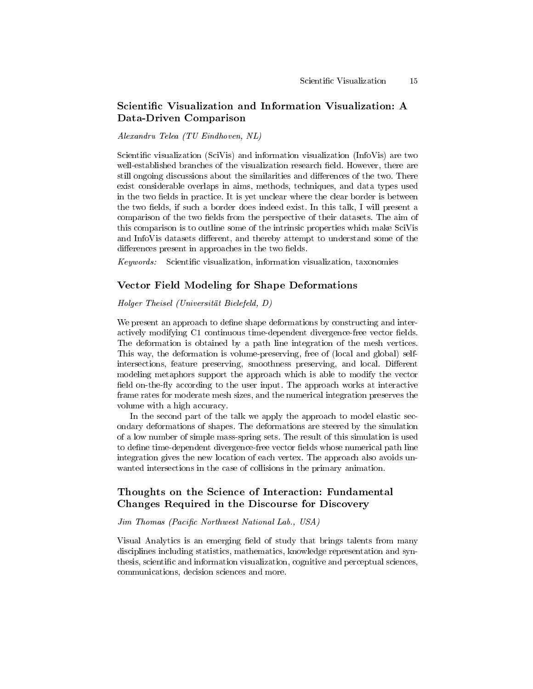# Scientific Visualization and Information Visualization: A Data-Driven Comparison

Alexandru Telea (TU Eindhoven, NL)

Scientific visualization (SciVis) and information visualization (InfoVis) are two well-established branches of the visualization research field. However, there are still ongoing discussions about the similarities and differences of the two. There exist considerable overlaps in aims, methods, techniques, and data types used in the two fields in practice. It is yet unclear where the clear border is between the two fields, if such a border does indeed exist. In this talk, I will present a comparison of the two fields from the perspective of their datasets. The aim of this comparison is to outline some of the intrinsic properties which make SciVis and InfoVis datasets different, and thereby attempt to understand some of the differences present in approaches in the two fields.

 $Keywords:$  Scientific visualization, information visualization, taxonomies

### Vector Field Modeling for Shape Deformations

#### Holger Theisel (Universität Bielefeld, D)

We present an approach to define shape deformations by constructing and interactively modifying C1 continuous time-dependent divergence-free vector fields. The deformation is obtained by a path line integration of the mesh vertices. This way, the deformation is volume-preserving, free of (local and global) selfintersections, feature preserving, smoothness preserving, and local. Different modeling metaphors support the approach which is able to modify the vector field on-the-fly according to the user input. The approach works at interactive frame rates for moderate mesh sizes, and the numerical integration preserves the volume with a high accuracy.

In the second part of the talk we apply the approach to model elastic secondary deformations of shapes. The deformations are steered by the simulation of a low number of simple mass-spring sets. The result of this simulation is used to define time-dependent divergence-free vector fields whose numerical path line integration gives the new location of each vertex. The approach also avoids unwanted intersections in the case of collisions in the primary animation.

# Thoughts on the Science of Interaction: Fundamental Changes Required in the Discourse for Discovery

### Jim Thomas (Pacific Northwest National Lab., USA)

Visual Analytics is an emerging field of study that brings talents from many disciplines including statistics, mathematics, knowledge representation and synthesis, scientific and information visualization, cognitive and perceptual sciences, communications, decision sciences and more.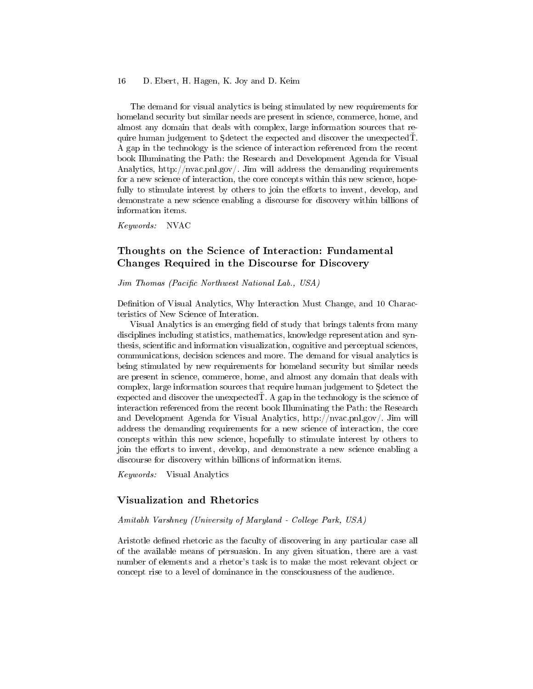The demand for visual analytics is being stimulated by new requirements for homeland security but similar needs are present in science, commerce, home, and almost any domain that deals with complex, large information sources that require human judgement to Sdetect the expected and discover the unexpected. A gap in the technology is the science of interaction referenced from the recent book Illuminating the Path: the Research and Development Agenda for Visual Analytics, http://nvac.pnl.gov/. Jim will address the demanding requirements for a new science of interaction, the core concepts within this new science, hopefully to stimulate interest by others to join the efforts to invent, develop, and demonstrate a new science enabling a discourse for discovery within billions of information items.

Keywords: NVAC

# Thoughts on the Science of Interaction: Fundamental Changes Required in the Discourse for Discovery

Jim Thomas (Pacific Northwest National Lab., USA)

Definition of Visual Analytics, Why Interaction Must Change, and 10 Characteristics of New Science of Interation.

Visual Analytics is an emerging field of study that brings talents from many disciplines including statistics, mathematics, knowledge representation and synthesis, scientific and information visualization, cognitive and perceptual sciences, communications, decision sciences and more. The demand for visual analytics is being stimulated by new requirements for homeland security but similar needs are present in science, commerce, home, and almost any domain that deals with complex, large information sources that require human judgement to Sdetect the expected and discover the unexpected  $\dot{T}$ . A gap in the technology is the science of interaction referenced from the recent book Illuminating the Path: the Research and Development Agenda for Visual Analytics, http://nvac.pnl.gov/. Jim will address the demanding requirements for a new science of interaction, the core concepts within this new science, hopefully to stimulate interest by others to join the efforts to invent, develop, and demonstrate a new science enabling a discourse for discovery within billions of information items.

Keywords: Visual Analytics

# Visualization and Rhetorics

#### Amitabh Varshney (University of Maryland - College Park, USA)

Aristotle defined rhetoric as the faculty of discovering in any particular case all of the available means of persuasion. In any given situation, there are a vast number of elements and a rhetor's task is to make the most relevant object or concept rise to a level of dominance in the consciousness of the audience.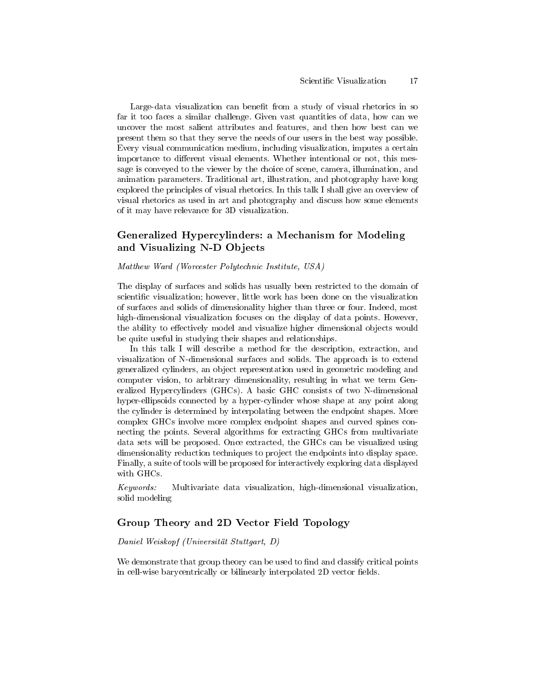Large-data visualization can benefit from a study of visual rhetorics in so far it too faces a similar challenge. Given vast quantities of data, how can we uncover the most salient attributes and features, and then how best can we present them so that they serve the needs of our users in the best way possible. Every visual communication medium, including visualization, imputes a certain importance to different visual elements. Whether intentional or not, this message is conveyed to the viewer by the choice of scene, camera, illumination, and animation parameters. Traditional art, illustration, and photography have long explored the principles of visual rhetorics. In this talk I shall give an overview of visual rhetorics as used in art and photography and discuss how some elements of it may have relevance for 3D visualization.

# Generalized Hypercylinders: a Mechanism for Modeling and Visualizing N-D Objects

#### Matthew Ward (Worcester Polytechnic Institute, USA)

The display of surfaces and solids has usually been restricted to the domain of scientific visualization; however, little work has been done on the visualization of surfaces and solids of dimensionality higher than three or four. Indeed, most high-dimensional visualization focuses on the display of data points. However, the ability to effectively model and visualize higher dimensional objects would be quite useful in studying their shapes and relationships.

In this talk I will describe a method for the description, extraction, and visualization of N-dimensional surfaces and solids. The approach is to extend generalized cylinders, an object representation used in geometric modeling and computer vision, to arbitrary dimensionality, resulting in what we term Generalized Hypercylinders (GHCs). A basic GHC consists of two N-dimensional hyper-ellipsoids connected by a hyper-cylinder whose shape at any point along the cylinder is determined by interpolating between the endpoint shapes. More complex GHCs involve more complex endpoint shapes and curved spines connecting the points. Several algorithms for extracting GHCs from multivariate data sets will be proposed. Once extracted, the GHCs can be visualized using dimensionality reduction techniques to project the endpoints into display space. Finally, a suite of tools will be proposed for interactively exploring data displayed with GHCs.

Keywords: Multivariate data visualization, high-dimensional visualization, solid modeling

# Group Theory and 2D Vector Field Topology

#### Daniel Weiskopf (Universität Stuttgart, D)

We demonstrate that group theory can be used to find and classify critical points in cell-wise barycentrically or bilinearly interpolated 2D vector fields.